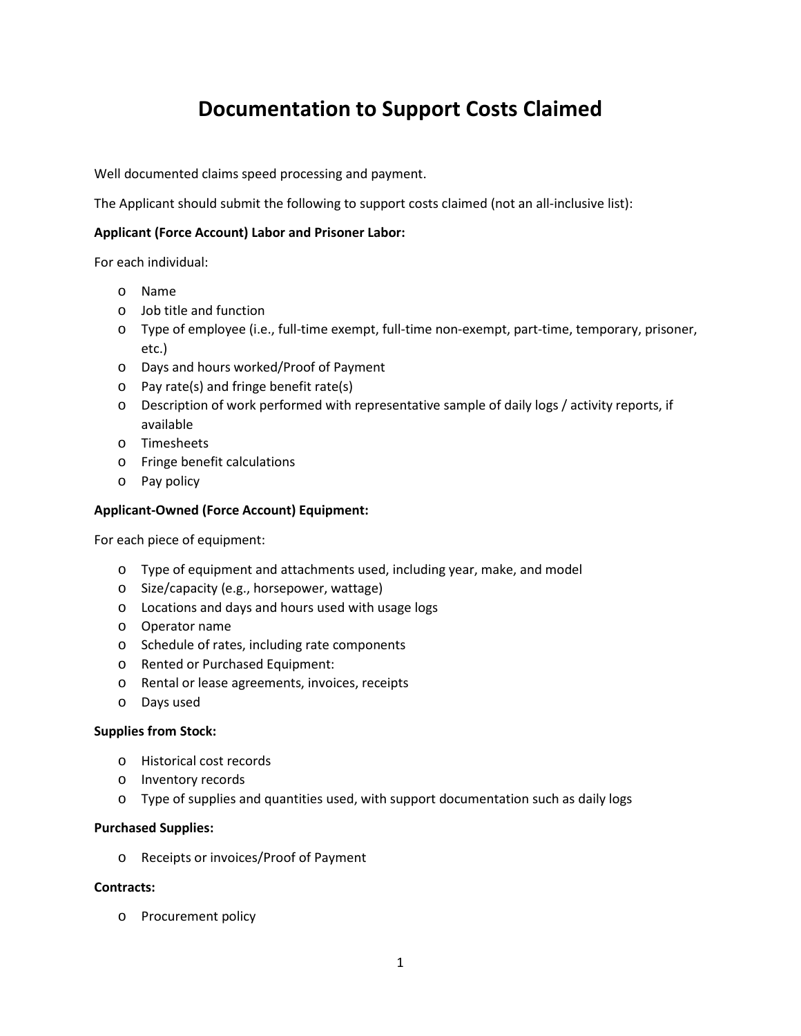# **Documentation to Support Costs Claimed**

Well documented claims speed processing and payment.

The Applicant should submit the following to support costs claimed (not an all-inclusive list):

## **Applicant (Force Account) Labor and Prisoner Labor:**

For each individual:

- o Name
- o Job title and function
- o Type of employee (i.e., full-time exempt, full-time non-exempt, part-time, temporary, prisoner, etc.)
- o Days and hours worked/Proof of Payment
- o Pay rate(s) and fringe benefit rate(s)
- o Description of work performed with representative sample of daily logs / activity reports, if available
- o Timesheets
- o Fringe benefit calculations
- o Pay policy

### **Applicant-Owned (Force Account) Equipment:**

For each piece of equipment:

- o Type of equipment and attachments used, including year, make, and model
- o Size/capacity (e.g., horsepower, wattage)
- o Locations and days and hours used with usage logs
- o Operator name
- o Schedule of rates, including rate components
- o Rented or Purchased Equipment:
- o Rental or lease agreements, invoices, receipts
- o Days used

#### **Supplies from Stock:**

- o Historical cost records
- o Inventory records
- o Type of supplies and quantities used, with support documentation such as daily logs

#### **Purchased Supplies:**

o Receipts or invoices/Proof of Payment

#### **Contracts:**

o Procurement policy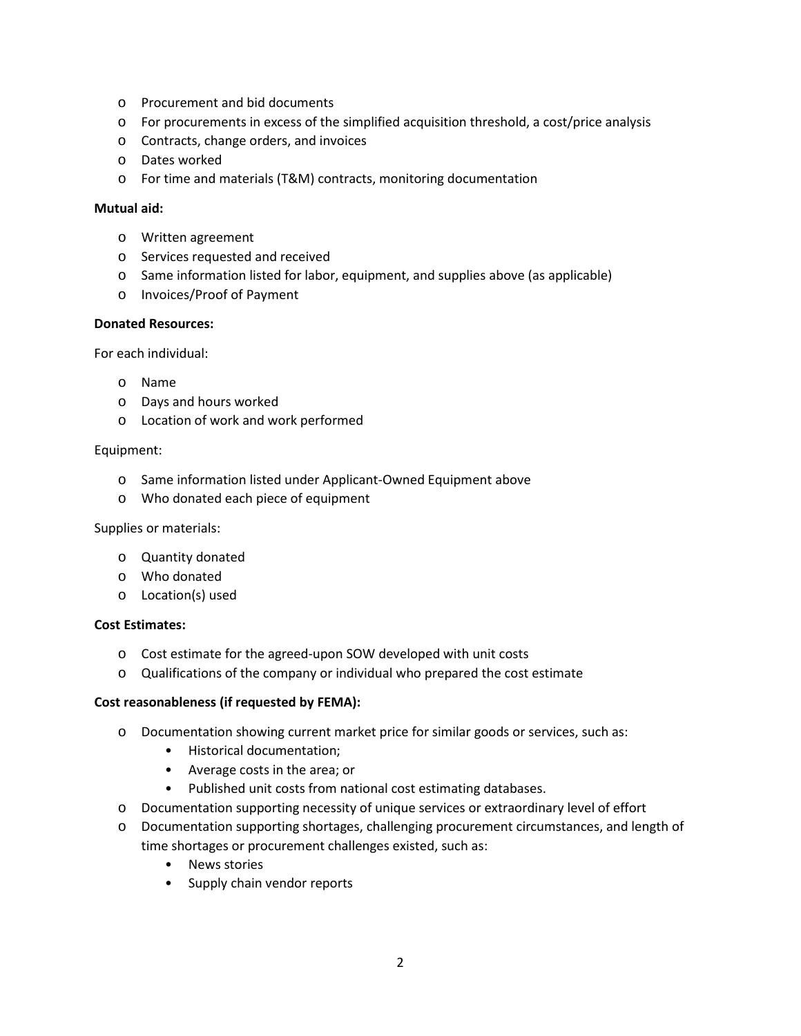- o Procurement and bid documents
- o For procurements in excess of the simplified acquisition threshold, a cost/price analysis
- o Contracts, change orders, and invoices
- o Dates worked
- o For time and materials (T&M) contracts, monitoring documentation

#### **Mutual aid:**

- o Written agreement
- o Services requested and received
- o Same information listed for labor, equipment, and supplies above (as applicable)
- o Invoices/Proof of Payment

#### **Donated Resources:**

For each individual:

- o Name
- o Days and hours worked
- o Location of work and work performed

#### Equipment:

- o Same information listed under Applicant-Owned Equipment above
- o Who donated each piece of equipment

#### Supplies or materials:

- o Quantity donated
- o Who donated
- o Location(s) used

#### **Cost Estimates:**

- o Cost estimate for the agreed-upon SOW developed with unit costs
- o Qualifications of the company or individual who prepared the cost estimate

#### **Cost reasonableness (if requested by FEMA):**

- o Documentation showing current market price for similar goods or services, such as:
	- Historical documentation;
	- Average costs in the area; or
	- Published unit costs from national cost estimating databases.
- o Documentation supporting necessity of unique services or extraordinary level of effort
- o Documentation supporting shortages, challenging procurement circumstances, and length of time shortages or procurement challenges existed, such as:
	- News stories
	- Supply chain vendor reports